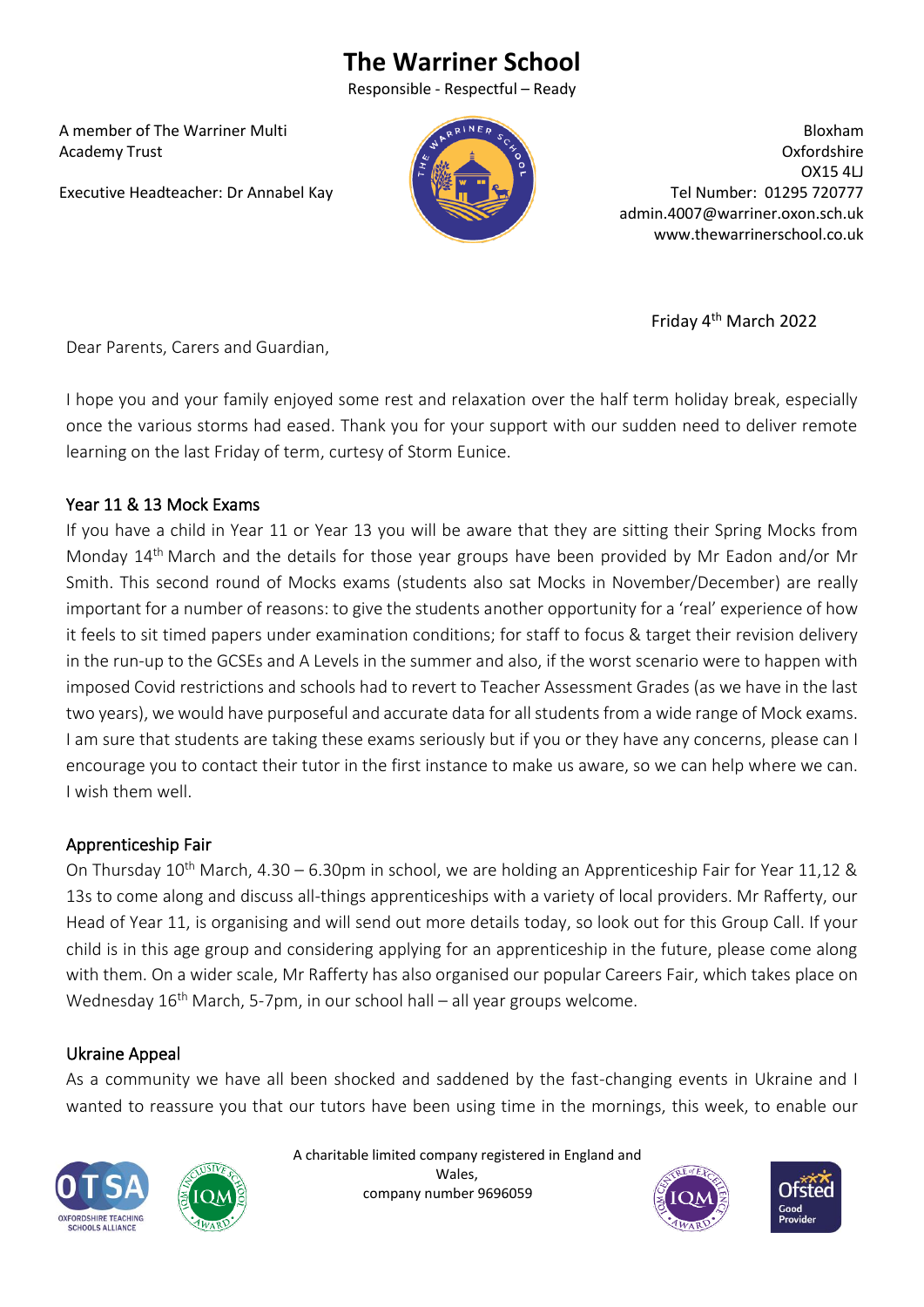# **The Warriner School**

Responsible - Respectful – Ready

 A member of The Warriner Multi Academy Trust

Executive Headteacher: Dr Annabel Kay



Bloxham Oxfordshire OX15 4LJ Tel Number: 01295 720777 admin.4007@warriner.oxon.sch.uk www.thewarrinerschool.co.uk

 Friday 4 Friday 4<sup>th</sup> March 2022

Dear Parents, Carers and Guardian,

I hope you and your family enjoyed some rest and relaxation over the half term holiday break, especially once the various storms had eased. Thank you for your support with our sudden need to deliver remote learning on the last Friday of term, curtesy of Storm Eunice.

#### Year 11 & 13 Mock Exams

If you have a child in Year 11 or Year 13 you will be aware that they are sitting their Spring Mocks from Monday 14th March and the details for those year groups have been provided by Mr Eadon and/or Mr Smith. This second round of Mocks exams (students also sat Mocks in November/December) are really important for a number of reasons: to give the students another opportunity for a 'real' experience of how it feels to sit timed papers under examination conditions; for staff to focus & target their revision delivery in the run-up to the GCSEs and A Levels in the summer and also, if the worst scenario were to happen with imposed Covid restrictions and schools had to revert to Teacher Assessment Grades (as we have in the last two years), we would have purposeful and accurate data for all students from a wide range of Mock exams. I am sure that students are taking these exams seriously but if you or they have any concerns, please can I encourage you to contact their tutor in the first instance to make us aware, so we can help where we can. I wish them well.

## Apprenticeship Fair

On Thursday  $10^{th}$  March, 4.30 – 6.30pm in school, we are holding an Apprenticeship Fair for Year 11,12 & 13s to come along and discuss all-things apprenticeships with a variety of local providers. Mr Rafferty, our Head of Year 11, is organising and will send out more details today, so look out for this Group Call. If your child is in this age group and considering applying for an apprenticeship in the future, please come along with them. On a wider scale, Mr Rafferty has also organised our popular Careers Fair, which takes place on Wednesday  $16<sup>th</sup>$  March, 5-7pm, in our school hall – all year groups welcome.

## Ukraine Appeal

As a community we have all been shocked and saddened by the fast-changing events in Ukraine and I wanted to reassure you that our tutors have been using time in the mornings, this week, to enable our





 A charitable limited company registered in England and Wales, company number 9696059